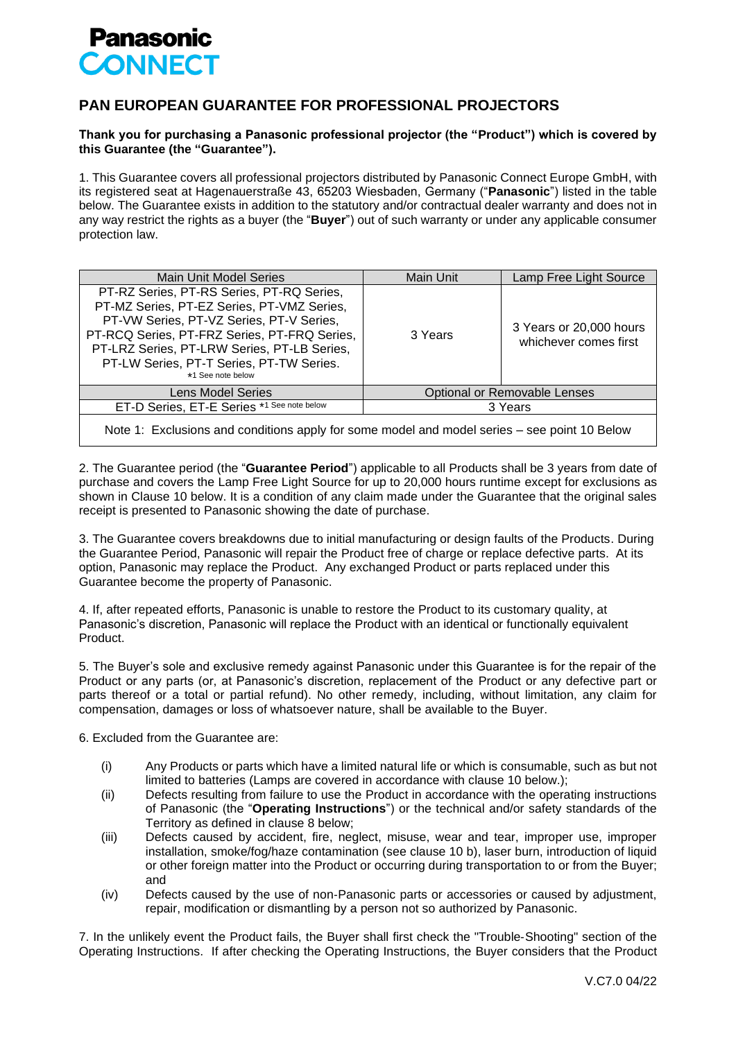

## **PAN EUROPEAN GUARANTEE FOR PROFESSIONAL PROJECTORS**

## **Thank you for purchasing a Panasonic professional projector (the "Product") which is covered by this Guarantee (the "Guarantee").**

1. This Guarantee covers all professional projectors distributed by Panasonic Connect Europe GmbH, with its registered seat at Hagenauerstraße 43, 65203 Wiesbaden, Germany ("**Panasonic**") listed in the table below. The Guarantee exists in addition to the statutory and/or contractual dealer warranty and does not in any way restrict the rights as a buyer (the "**Buyer**") out of such warranty or under any applicable consumer protection law.

| Main Unit Model Series                                                                                                                                                                                                                                                                              | Main Unit                           | Lamp Free Light Source                           |
|-----------------------------------------------------------------------------------------------------------------------------------------------------------------------------------------------------------------------------------------------------------------------------------------------------|-------------------------------------|--------------------------------------------------|
| PT-RZ Series, PT-RS Series, PT-RQ Series,<br>PT-MZ Series, PT-EZ Series, PT-VMZ Series,<br>PT-VW Series, PT-VZ Series, PT-V Series,<br>PT-RCQ Series, PT-FRZ Series, PT-FRQ Series,<br>PT-LRZ Series, PT-LRW Series, PT-LB Series,<br>PT-LW Series, PT-T Series, PT-TW Series.<br>*1 See note below | 3 Years                             | 3 Years or 20,000 hours<br>whichever comes first |
| <b>Lens Model Series</b>                                                                                                                                                                                                                                                                            | <b>Optional or Removable Lenses</b> |                                                  |
| ET-D Series, ET-E Series *1 See note below                                                                                                                                                                                                                                                          | 3 Years                             |                                                  |
|                                                                                                                                                                                                                                                                                                     |                                     |                                                  |

Note 1: Exclusions and conditions apply for some model and model series – see point 10 Below

2. The Guarantee period (the "**Guarantee Period**") applicable to all Products shall be 3 years from date of purchase and covers the Lamp Free Light Source for up to 20,000 hours runtime except for exclusions as shown in Clause 10 below. It is a condition of any claim made under the Guarantee that the original sales receipt is presented to Panasonic showing the date of purchase.

3. The Guarantee covers breakdowns due to initial manufacturing or design faults of the Products. During the Guarantee Period, Panasonic will repair the Product free of charge or replace defective parts. At its option, Panasonic may replace the Product. Any exchanged Product or parts replaced under this Guarantee become the property of Panasonic.

4. If, after repeated efforts, Panasonic is unable to restore the Product to its customary quality, at Panasonic's discretion, Panasonic will replace the Product with an identical or functionally equivalent Product.

5. The Buyer's sole and exclusive remedy against Panasonic under this Guarantee is for the repair of the Product or any parts (or, at Panasonic's discretion, replacement of the Product or any defective part or parts thereof or a total or partial refund). No other remedy, including, without limitation, any claim for compensation, damages or loss of whatsoever nature, shall be available to the Buyer.

6. Excluded from the Guarantee are:

- (i) Any Products or parts which have a limited natural life or which is consumable, such as but not limited to batteries (Lamps are covered in accordance with clause 10 below.);
- (ii) Defects resulting from failure to use the Product in accordance with the operating instructions of Panasonic (the "**Operating Instructions**") or the technical and/or safety standards of the Territory as defined in clause 8 below;
- (iii) Defects caused by accident, fire, neglect, misuse, wear and tear, improper use, improper installation, smoke/fog/haze contamination (see clause 10 b), laser burn, introduction of liquid or other foreign matter into the Product or occurring during transportation to or from the Buyer; and
- (iv) Defects caused by the use of non‐Panasonic parts or accessories or caused by adjustment, repair, modification or dismantling by a person not so authorized by Panasonic.

7. In the unlikely event the Product fails, the Buyer shall first check the "Trouble‐Shooting" section of the Operating Instructions. If after checking the Operating Instructions, the Buyer considers that the Product